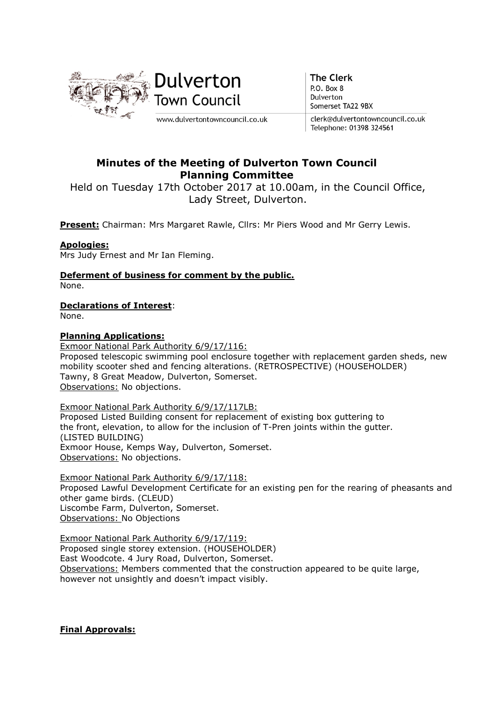

**The Clerk** P.O. Box 8 Dulverton Somerset TA22 9BX

clerk@dulvertontowncouncil.co.uk Telephone: 01398 324561

# Minutes of the Meeting of Dulverton Town Council Planning Committee

Held on Tuesday 17th October 2017 at 10.00am, in the Council Office, Lady Street, Dulverton.

Present: Chairman: Mrs Margaret Rawle, Cllrs: Mr Piers Wood and Mr Gerry Lewis.

# Apologies:

Mrs Judy Ernest and Mr Ian Fleming.

Deferment of business for comment by the public.

None.

Declarations of Interest:

None.

## Planning Applications:

Exmoor National Park Authority 6/9/17/116: Proposed telescopic swimming pool enclosure together with replacement garden sheds, new mobility scooter shed and fencing alterations. (RETROSPECTIVE) (HOUSEHOLDER) Tawny, 8 Great Meadow, Dulverton, Somerset. Observations: No objections.

Exmoor National Park Authority 6/9/17/117LB: Proposed Listed Building consent for replacement of existing box guttering to the front, elevation, to allow for the inclusion of T-Pren joints within the gutter. (LISTED BUILDING) Exmoor House, Kemps Way, Dulverton, Somerset. Observations: No objections.

Exmoor National Park Authority 6/9/17/118: Proposed Lawful Development Certificate for an existing pen for the rearing of pheasants and other game birds. (CLEUD) Liscombe Farm, Dulverton, Somerset. Observations: No Objections

Exmoor National Park Authority 6/9/17/119: Proposed single storey extension. (HOUSEHOLDER) East Woodcote. 4 Jury Road, Dulverton, Somerset. Observations: Members commented that the construction appeared to be quite large, however not unsightly and doesn't impact visibly.

# Final Approvals: